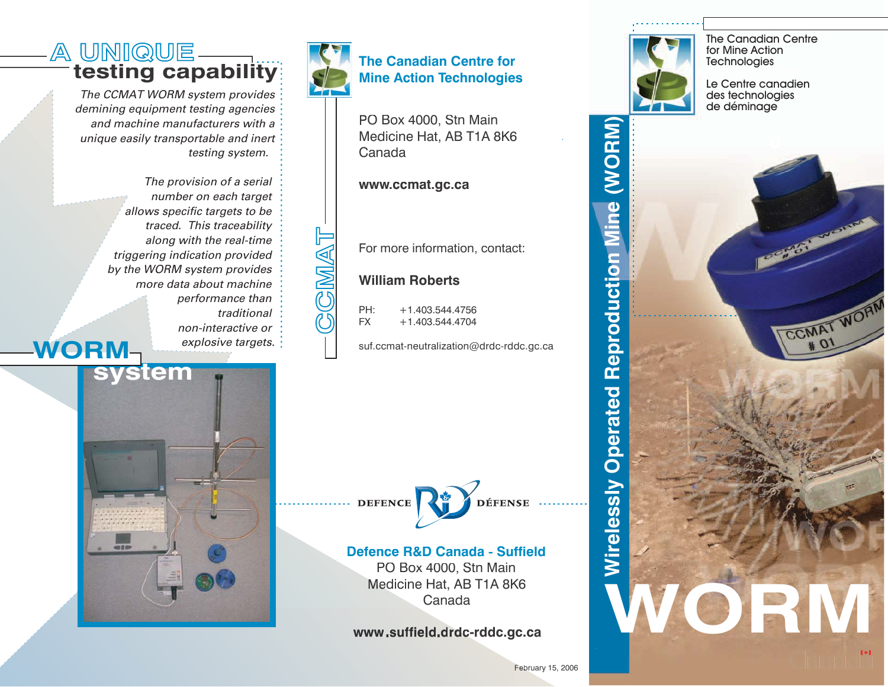## **A UNIQUE** testing capability

*The CCMAT WORM system provides demining equipment testing agencies and machine manufacturers with a unique easily transportable and inert testing system.*

**WORM***The provision of <sup>a</sup> serial number on each target allows specific targets to be traced. This traceability along with the real-time triggering indication provided by the WORM system provides more data about machineperformance than traditionalnon-interactive orexplosive targets.*



**CCMAT**

**BGMAT** 

### **The Canadian Centre forMine Action Technologies**

O Box 4000, Stn Main Medicine Hat, AB T1A 8K6 Canada

**w w w.c c m at.g c.c a**

For more information, contact:

### **WilliamRoberts**

PH: +1.403.544.4756FX+1.403.544.4704

suf.ccmat-neutralization@drdc-rddc.gc.ca





#### **DefenceR&DCanada - Suffield**

PO Box 4000, Stn Main Medicine Hat, AB T1A 8K6 Canada

**d c-rd d c.g c.c a**



The Canadian Centre for Mine Action **Technologies** 

Le Centre canadien des technologies de déminage